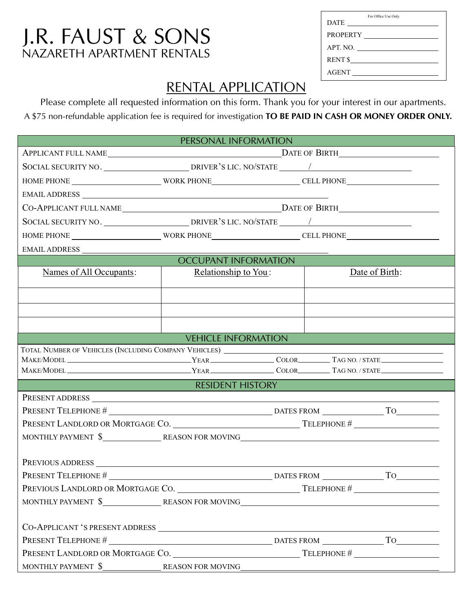## NAZARETH APARTMENT RENTALS J.R. FAUST & SONS

|              | For Office Use Only |
|--------------|---------------------|
|              |                     |
|              |                     |
|              | APT. NO.            |
|              | RENT \$             |
| <b>AGENT</b> |                     |
|              |                     |

## RENTAL APPLICATION

Please complete all requested information on this form. Thank you for your interest in our apartments. A \$75 non-refundable application fee is required for investigation **TO BE PAID IN CASH OR MONEY ORDER ONLY.** 

| PERSONAL INFORMATION                                                               |                            |                   |                |    |  |  |
|------------------------------------------------------------------------------------|----------------------------|-------------------|----------------|----|--|--|
|                                                                                    |                            |                   |                |    |  |  |
|                                                                                    |                            |                   |                |    |  |  |
|                                                                                    |                            |                   |                |    |  |  |
|                                                                                    |                            |                   |                |    |  |  |
|                                                                                    |                            |                   |                |    |  |  |
|                                                                                    |                            |                   |                |    |  |  |
|                                                                                    |                            |                   |                |    |  |  |
| EMAIL ADDRESS                                                                      |                            |                   |                |    |  |  |
| <b>OCCUPANT INFORMATION</b>                                                        |                            |                   |                |    |  |  |
| Names of All Occupants:                                                            | Relationship to You:       |                   | Date of Birth: |    |  |  |
|                                                                                    |                            |                   |                |    |  |  |
|                                                                                    |                            |                   |                |    |  |  |
|                                                                                    |                            |                   |                |    |  |  |
|                                                                                    |                            |                   |                |    |  |  |
|                                                                                    | <b>VEHICLE INFORMATION</b> |                   |                |    |  |  |
|                                                                                    |                            |                   |                |    |  |  |
|                                                                                    |                            |                   |                |    |  |  |
| <b>RESIDENT HISTORY</b>                                                            |                            |                   |                |    |  |  |
|                                                                                    |                            |                   |                |    |  |  |
|                                                                                    |                            |                   |                |    |  |  |
|                                                                                    |                            |                   |                |    |  |  |
| MONTHLY PAYMENT \$________________REASON FOR MOVING_______________________________ |                            |                   |                |    |  |  |
|                                                                                    |                            |                   |                |    |  |  |
| PREVIOUS ADDRESS                                                                   |                            |                   |                |    |  |  |
| <b>PRESENT TELEPHONE #</b>                                                         |                            | <b>DATES FROM</b> |                | To |  |  |
| PREVIOUS LANDLORD OR MORTGAGE CO.                                                  |                            |                   |                |    |  |  |
|                                                                                    |                            |                   |                |    |  |  |
|                                                                                    |                            |                   |                |    |  |  |
|                                                                                    |                            |                   |                |    |  |  |
|                                                                                    |                            |                   |                |    |  |  |
|                                                                                    |                            |                   |                |    |  |  |
| MONTHLY PAYMENT \$________________REASON FOR MOVING_______________________________ |                            |                   |                |    |  |  |